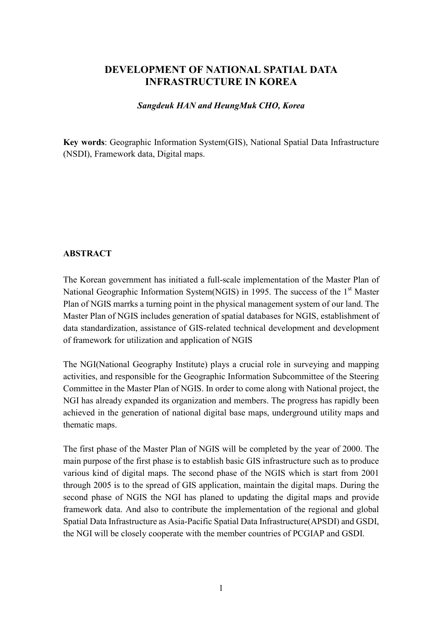# **DEVELOPMENT OF NATIONAL SPATIAL DATA INFRASTRUCTURE IN KOREA**

#### *Sangdeuk HAN and HeungMuk CHO, Korea*

**Key words**: Geographic Information System(GIS), National Spatial Data Infrastructure (NSDI), Framework data, Digital maps.

#### **ABSTRACT**

The Korean government has initiated a full-scale implementation of the Master Plan of National Geographic Information System(NGIS) in 1995. The success of the 1<sup>st</sup> Master Plan of NGIS marrks a turning point in the physical management system of our land. The Master Plan of NGIS includes generation of spatial databases for NGIS, establishment of data standardization, assistance of GIS-related technical development and development of framework for utilization and application of NGIS

The NGI(National Geography Institute) plays a crucial role in surveying and mapping activities, and responsible for the Geographic Information Subcommittee of the Steering Committee in the Master Plan of NGIS. In order to come along with National project, the NGI has already expanded its organization and members. The progress has rapidly been achieved in the generation of national digital base maps, underground utility maps and thematic maps.

The first phase of the Master Plan of NGIS will be completed by the year of 2000. The main purpose of the first phase is to establish basic GIS infrastructure such as to produce various kind of digital maps. The second phase of the NGIS which is start from 2001 through 2005 is to the spread of GIS application, maintain the digital maps. During the second phase of NGIS the NGI has planed to updating the digital maps and provide framework data. And also to contribute the implementation of the regional and global Spatial Data Infrastructure as Asia-Pacific Spatial Data Infrastructure(APSDI) and GSDI, the NGI will be closely cooperate with the member countries of PCGIAP and GSDI.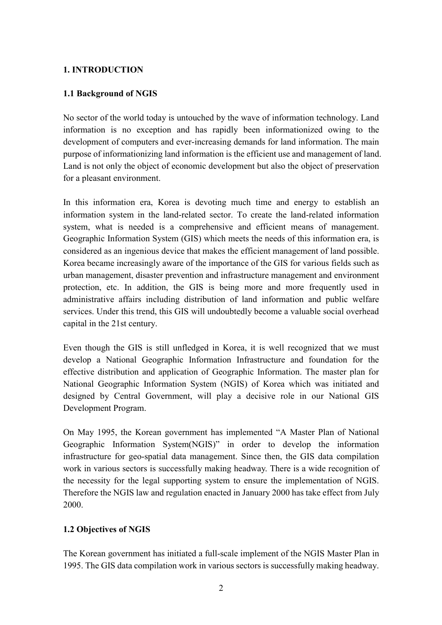# **1. INTRODUCTION**

# **1.1 Background of NGIS**

No sector of the world today is untouched by the wave of information technology. Land information is no exception and has rapidly been informationized owing to the development of computers and ever-increasing demands for land information. The main purpose of informationizing land information is the efficient use and management of land. Land is not only the object of economic development but also the object of preservation for a pleasant environment.

In this information era, Korea is devoting much time and energy to establish an information system in the land-related sector. To create the land-related information system, what is needed is a comprehensive and efficient means of management. Geographic Information System (GIS) which meets the needs of this information era, is considered as an ingenious device that makes the efficient management of land possible. Korea became increasingly aware of the importance of the GIS for various fields such as urban management, disaster prevention and infrastructure management and environment protection, etc. In addition, the GIS is being more and more frequently used in administrative affairs including distribution of land information and public welfare services. Under this trend, this GIS will undoubtedly become a valuable social overhead capital in the 21st century.

Even though the GIS is still unfledged in Korea, it is well recognized that we must develop a National Geographic Information Infrastructure and foundation for the effective distribution and application of Geographic Information. The master plan for National Geographic Information System (NGIS) of Korea which was initiated and designed by Central Government, will play a decisive role in our National GIS Development Program.

On May 1995, the Korean government has implemented "A Master Plan of National Geographic Information System(NGIS)" in order to develop the information infrastructure for geo-spatial data management. Since then, the GIS data compilation work in various sectors is successfully making headway. There is a wide recognition of the necessity for the legal supporting system to ensure the implementation of NGIS. Therefore the NGIS law and regulation enacted in January 2000 has take effect from July 2000.

# **1.2 Objectives of NGIS**

The Korean government has initiated a full-scale implement of the NGIS Master Plan in 1995. The GIS data compilation work in various sectors is successfully making headway.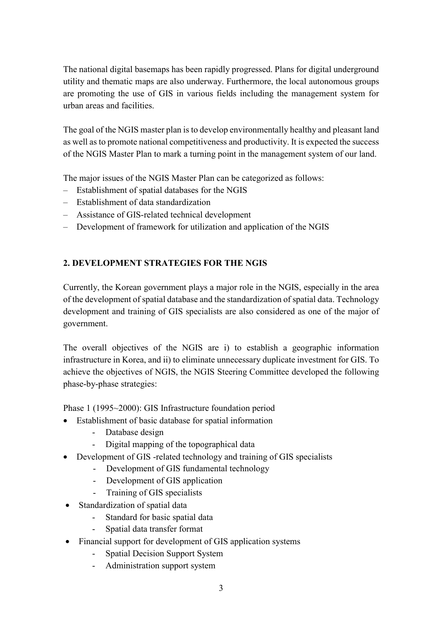The national digital basemaps has been rapidly progressed. Plans for digital underground utility and thematic maps are also underway. Furthermore, the local autonomous groups are promoting the use of GIS in various fields including the management system for urban areas and facilities.

The goal of the NGIS master plan is to develop environmentally healthy and pleasant land as well as to promote national competitiveness and productivity. It is expected the success of the NGIS Master Plan to mark a turning point in the management system of our land.

The major issues of the NGIS Master Plan can be categorized as follows:

- Establishment of spatial databases for the NGIS
- Establishment of data standardization
- Assistance of GIS-related technical development
- Development of framework for utilization and application of the NGIS

# **2. DEVELOPMENT STRATEGIES FOR THE NGIS**

Currently, the Korean government plays a major role in the NGIS, especially in the area of the development of spatial database and the standardization of spatial data. Technology development and training of GIS specialists are also considered as one of the major of government.

The overall objectives of the NGIS are i) to establish a geographic information infrastructure in Korea, and ii) to eliminate unnecessary duplicate investment for GIS. To achieve the objectives of NGIS, the NGIS Steering Committee developed the following phase-by-phase strategies:

Phase 1 (1995~2000): GIS Infrastructure foundation period

- Establishment of basic database for spatial information
	- Database design
	- Digital mapping of the topographical data
- Development of GIS -related technology and training of GIS specialists
	- Development of GIS fundamental technology
	- Development of GIS application
	- Training of GIS specialists
- Standardization of spatial data
	- Standard for basic spatial data
	- Spatial data transfer format
- Financial support for development of GIS application systems
	- Spatial Decision Support System
	- Administration support system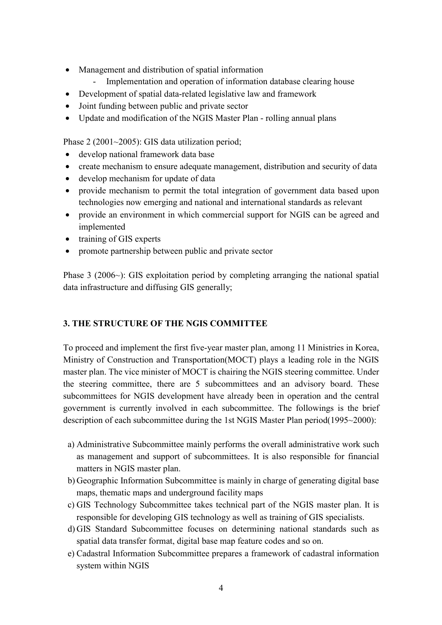- Management and distribution of spatial information
	- Implementation and operation of information database clearing house
- Development of spatial data-related legislative law and framework
- Joint funding between public and private sector
- Update and modification of the NGIS Master Plan rolling annual plans

Phase 2 (2001~2005): GIS data utilization period;

- develop national framework data base
- create mechanism to ensure adequate management, distribution and security of data
- develop mechanism for update of data
- provide mechanism to permit the total integration of government data based upon technologies now emerging and national and international standards as relevant
- provide an environment in which commercial support for NGIS can be agreed and implemented
- training of GIS experts
- promote partnership between public and private sector

Phase 3 (2006~): GIS exploitation period by completing arranging the national spatial data infrastructure and diffusing GIS generally;

### **3. THE STRUCTURE OF THE NGIS COMMITTEE**

To proceed and implement the first five-year master plan, among 11 Ministries in Korea, Ministry of Construction and Transportation(MOCT) plays a leading role in the NGIS master plan. The vice minister of MOCT is chairing the NGIS steering committee. Under the steering committee, there are 5 subcommittees and an advisory board. These subcommittees for NGIS development have already been in operation and the central government is currently involved in each subcommittee. The followings is the brief description of each subcommittee during the 1st NGIS Master Plan period(1995~2000):

- a) Administrative Subcommittee mainly performs the overall administrative work such as management and support of subcommittees. It is also responsible for financial matters in NGIS master plan.
- b) Geographic Information Subcommittee is mainly in charge of generating digital base maps, thematic maps and underground facility maps
- c) GIS Technology Subcommittee takes technical part of the NGIS master plan. It is responsible for developing GIS technology as well as training of GIS specialists.
- d) GIS Standard Subcommittee focuses on determining national standards such as spatial data transfer format, digital base map feature codes and so on.
- e) Cadastral Information Subcommittee prepares a framework of cadastral information system within NGIS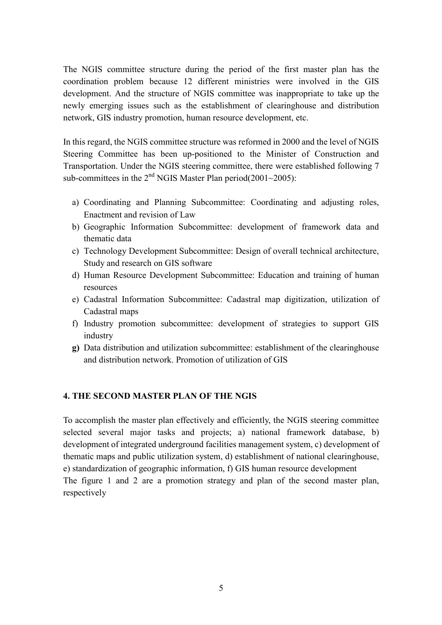The NGIS committee structure during the period of the first master plan has the coordination problem because 12 different ministries were involved in the GIS development. And the structure of NGIS committee was inappropriate to take up the newly emerging issues such as the establishment of clearinghouse and distribution network, GIS industry promotion, human resource development, etc.

In this regard, the NGIS committee structure was reformed in 2000 and the level of NGIS Steering Committee has been up-positioned to the Minister of Construction and Transportation. Under the NGIS steering committee, there were established following 7 sub-committees in the  $2<sup>nd</sup>$  NGIS Master Plan period(2001~2005):

- a) Coordinating and Planning Subcommittee: Coordinating and adjusting roles, Enactment and revision of Law
- b) Geographic Information Subcommittee: development of framework data and thematic data
- c) Technology Development Subcommittee: Design of overall technical architecture, Study and research on GIS software
- d) Human Resource Development Subcommittee: Education and training of human resources
- e) Cadastral Information Subcommittee: Cadastral map digitization, utilization of Cadastral maps
- f) Industry promotion subcommittee: development of strategies to support GIS industry
- **g)** Data distribution and utilization subcommittee: establishment of the clearinghouse and distribution network. Promotion of utilization of GIS

### **4. THE SECOND MASTER PLAN OF THE NGIS**

To accomplish the master plan effectively and efficiently, the NGIS steering committee selected several major tasks and projects; a) national framework database, b) development of integrated underground facilities management system, c) development of thematic maps and public utilization system, d) establishment of national clearinghouse, e) standardization of geographic information, f) GIS human resource development The figure 1 and 2 are a promotion strategy and plan of the second master plan, respectively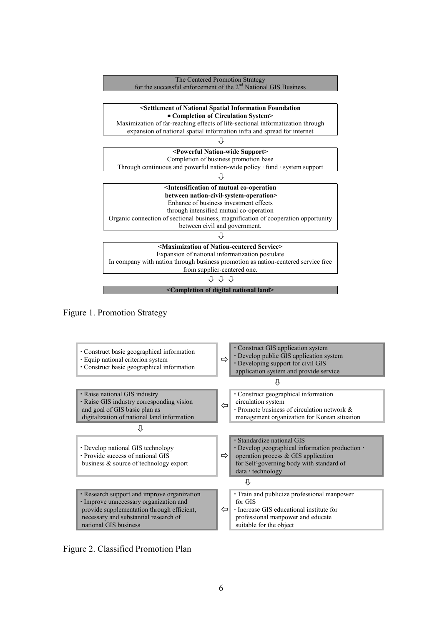





Figure 2. Classified Promotion Plan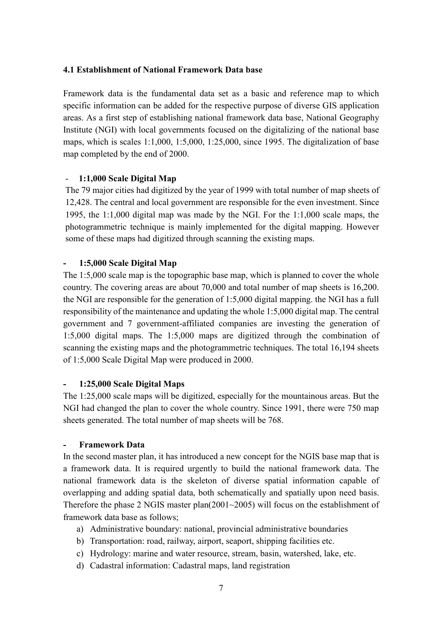#### **4.1 Establishment of National Framework Data base**

Framework data is the fundamental data set as a basic and reference map to which specific information can be added for the respective purpose of diverse GIS application areas. As a first step of establishing national framework data base, National Geography Institute (NGI) with local governments focused on the digitalizing of the national base maps, which is scales 1:1,000, 1:5,000, 1:25,000, since 1995. The digitalization of base map completed by the end of 2000.

#### - **1:1,000 Scale Digital Map**

The 79 major cities had digitized by the year of 1999 with total number of map sheets of 12,428. The central and local government are responsible for the even investment. Since 1995, the 1:1,000 digital map was made by the NGI. For the 1:1,000 scale maps, the photogrammetric technique is mainly implemented for the digital mapping. However some of these maps had digitized through scanning the existing maps.

#### **- 1:5,000 Scale Digital Map**

The 1:5,000 scale map is the topographic base map, which is planned to cover the whole country. The covering areas are about 70,000 and total number of map sheets is 16,200. the NGI are responsible for the generation of 1:5,000 digital mapping. the NGI has a full responsibility of the maintenance and updating the whole 1:5,000 digital map. The central government and 7 government-affiliated companies are investing the generation of 1:5,000 digital maps. The 1:5,000 maps are digitized through the combination of scanning the existing maps and the photogrammetric techniques. The total 16,194 sheets of 1:5,000 Scale Digital Map were produced in 2000.

#### **- 1:25,000 Scale Digital Maps**

The 1:25,000 scale maps will be digitized, especially for the mountainous areas. But the NGI had changed the plan to cover the whole country. Since 1991, there were 750 map sheets generated. The total number of map sheets will be 768.

#### **- Framework Data**

In the second master plan, it has introduced a new concept for the NGIS base map that is a framework data. It is required urgently to build the national framework data. The national framework data is the skeleton of diverse spatial information capable of overlapping and adding spatial data, both schematically and spatially upon need basis. Therefore the phase 2 NGIS master plan(2001~2005) will focus on the establishment of framework data base as follows;

- a) Administrative boundary: national, provincial administrative boundaries
- b) Transportation: road, railway, airport, seaport, shipping facilities etc.
- c) Hydrology: marine and water resource, stream, basin, watershed, lake, etc.
- d) Cadastral information: Cadastral maps, land registration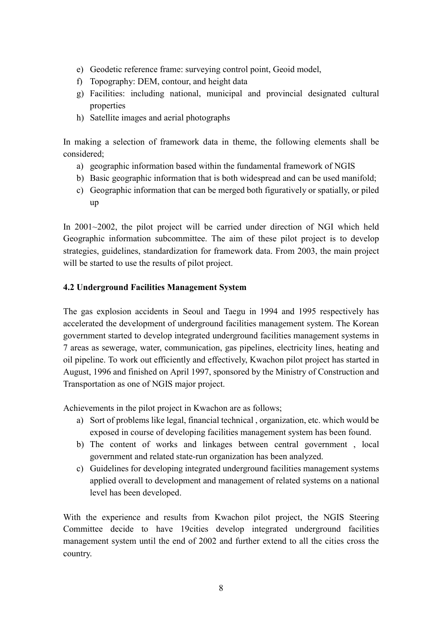- e) Geodetic reference frame: surveying control point, Geoid model,
- f) Topography: DEM, contour, and height data
- g) Facilities: including national, municipal and provincial designated cultural properties
- h) Satellite images and aerial photographs

In making a selection of framework data in theme, the following elements shall be considered;

- a) geographic information based within the fundamental framework of NGIS
- b) Basic geographic information that is both widespread and can be used manifold;
- c) Geographic information that can be merged both figuratively or spatially, or piled up

In 2001~2002, the pilot project will be carried under direction of NGI which held Geographic information subcommittee. The aim of these pilot project is to develop strategies, guidelines, standardization for framework data. From 2003, the main project will be started to use the results of pilot project.

### **4.2 Underground Facilities Management System**

The gas explosion accidents in Seoul and Taegu in 1994 and 1995 respectively has accelerated the development of underground facilities management system. The Korean government started to develop integrated underground facilities management systems in 7 areas as sewerage, water, communication, gas pipelines, electricity lines, heating and oil pipeline. To work out efficiently and effectively, Kwachon pilot project has started in August, 1996 and finished on April 1997, sponsored by the Ministry of Construction and Transportation as one of NGIS major project.

Achievements in the pilot project in Kwachon are as follows;

- a) Sort of problems like legal, financial technical , organization, etc. which would be exposed in course of developing facilities management system has been found.
- b) The content of works and linkages between central government , local government and related state-run organization has been analyzed.
- c) Guidelines for developing integrated underground facilities management systems applied overall to development and management of related systems on a national level has been developed.

With the experience and results from Kwachon pilot project, the NGIS Steering Committee decide to have 19cities develop integrated underground facilities management system until the end of 2002 and further extend to all the cities cross the country.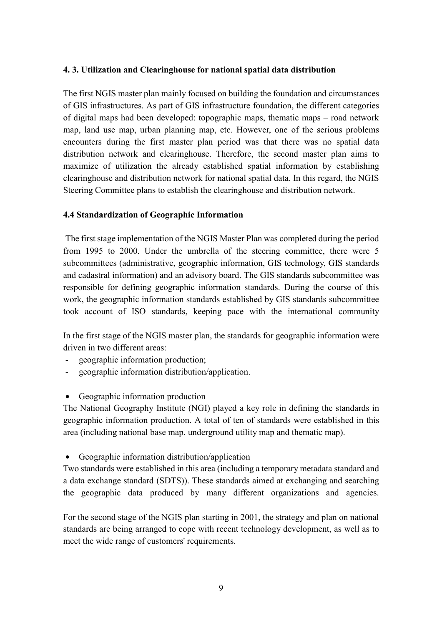#### **4. 3. Utilization and Clearinghouse for national spatial data distribution**

The first NGIS master plan mainly focused on building the foundation and circumstances of GIS infrastructures. As part of GIS infrastructure foundation, the different categories of digital maps had been developed: topographic maps, thematic maps – road network map, land use map, urban planning map, etc. However, one of the serious problems encounters during the first master plan period was that there was no spatial data distribution network and clearinghouse. Therefore, the second master plan aims to maximize of utilization the already established spatial information by establishing clearinghouse and distribution network for national spatial data. In this regard, the NGIS Steering Committee plans to establish the clearinghouse and distribution network.

#### **4.4 Standardization of Geographic Information**

 The first stage implementation of the NGIS Master Plan was completed during the period from 1995 to 2000. Under the umbrella of the steering committee, there were 5 subcommittees (administrative, geographic information, GIS technology, GIS standards and cadastral information) and an advisory board. The GIS standards subcommittee was responsible for defining geographic information standards. During the course of this work, the geographic information standards established by GIS standards subcommittee took account of ISO standards, keeping pace with the international community

In the first stage of the NGIS master plan, the standards for geographic information were driven in two different areas:

- geographic information production;
- geographic information distribution/application.
- Geographic information production

The National Geography Institute (NGI) played a key role in defining the standards in geographic information production. A total of ten of standards were established in this area (including national base map, underground utility map and thematic map).

• Geographic information distribution/application

Two standards were established in this area (including a temporary metadata standard and a data exchange standard (SDTS)). These standards aimed at exchanging and searching the geographic data produced by many different organizations and agencies.

For the second stage of the NGIS plan starting in 2001, the strategy and plan on national standards are being arranged to cope with recent technology development, as well as to meet the wide range of customers' requirements.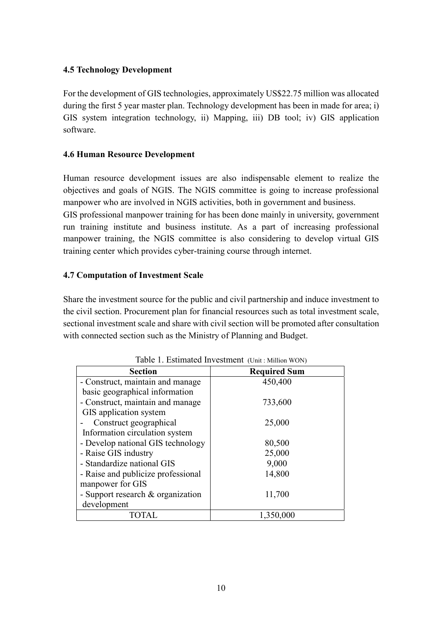# **4.5 Technology Development**

For the development of GIS technologies, approximately US\$22.75 million was allocated during the first 5 year master plan. Technology development has been in made for area; i) GIS system integration technology, ii) Mapping, iii) DB tool; iv) GIS application software.

# **4.6 Human Resource Development**

Human resource development issues are also indispensable element to realize the objectives and goals of NGIS. The NGIS committee is going to increase professional manpower who are involved in NGIS activities, both in government and business.

GIS professional manpower training for has been done mainly in university, government run training institute and business institute. As a part of increasing professional manpower training, the NGIS committee is also considering to develop virtual GIS training center which provides cyber-training course through internet.

# **4.7 Computation of Investment Scale**

Share the investment source for the public and civil partnership and induce investment to the civil section. Procurement plan for financial resources such as total investment scale, sectional investment scale and share with civil section will be promoted after consultation with connected section such as the Ministry of Planning and Budget.

| $\mathcal{O}$ . Extrimed in , come , $\mathcal{O}$ m, $\mathcal{O}$ m, $\mathcal{O}$ m, $\mathcal{O}$ |                     |  |
|-------------------------------------------------------------------------------------------------------|---------------------|--|
| <b>Section</b>                                                                                        | <b>Required Sum</b> |  |
| - Construct, maintain and manage                                                                      | 450,400             |  |
| basic geographical information                                                                        |                     |  |
| - Construct, maintain and manage                                                                      | 733,600             |  |
| GIS application system                                                                                |                     |  |
| Construct geographical                                                                                | 25,000              |  |
| Information circulation system                                                                        |                     |  |
| - Develop national GIS technology                                                                     | 80,500              |  |
| - Raise GIS industry                                                                                  | 25,000              |  |
| - Standardize national GIS                                                                            | 9,000               |  |
| - Raise and publicize professional                                                                    | 14,800              |  |
| manpower for GIS                                                                                      |                     |  |
| - Support research & organization                                                                     | 11,700              |  |
| development                                                                                           |                     |  |
| TOTAL                                                                                                 | 1,350,000           |  |

Table 1. Estimated Investment (Unit : Million WON)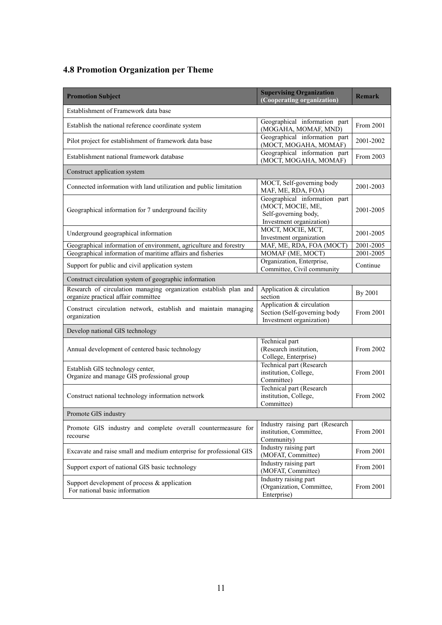# **4.8 Promotion Organization per Theme**

| <b>Promotion Subject</b>                                                                                | <b>Supervising Organization</b><br>(Cooperating organization)                                          | <b>Remark</b> |  |
|---------------------------------------------------------------------------------------------------------|--------------------------------------------------------------------------------------------------------|---------------|--|
| Establishment of Framework data base                                                                    |                                                                                                        |               |  |
| Establish the national reference coordinate system                                                      | Geographical information part<br>(MOGAHA, MOMAF, MND)                                                  | From 2001     |  |
| Pilot project for establishment of framework data base                                                  | Geographical information part<br>(MOCT, MOGAHA, MOMAF)                                                 | 2001-2002     |  |
| Establishment national framework database                                                               | Geographical information part<br>(MOCT, MOGAHA, MOMAF)                                                 | From 2003     |  |
| Construct application system                                                                            |                                                                                                        |               |  |
| Connected information with land utilization and public limitation                                       | MOCT, Self-governing body<br>MAF, ME, RDA, FOA)                                                        | 2001-2003     |  |
| Geographical information for 7 underground facility                                                     | Geographical information part<br>(MOCT, MOCIE, ME,<br>Self-governing body,<br>Investment organization) | 2001-2005     |  |
| Underground geographical information                                                                    | MOCT, MOCIE, MCT,<br>Investment organization                                                           | 2001-2005     |  |
| Geographical information of environment, agriculture and forestry                                       | MAF, ME, RDA, FOA (MOCT)                                                                               | 2001-2005     |  |
| Geographical information of maritime affairs and fisheries                                              | MOMAF (ME, MOCT)                                                                                       | 2001-2005     |  |
| Support for public and civil application system                                                         | Organization, Enterprise,<br>Committee, Civil community                                                | Continue      |  |
| Construct circulation system of geographic information                                                  |                                                                                                        |               |  |
| Research of circulation managing organization establish plan and<br>organize practical affair committee | Application & circulation<br>section                                                                   | By 2001       |  |
| Construct circulation network, establish and maintain managing<br>organization                          | Application & circulation<br>Section (Self-governing body<br>Investment organization)                  | From 2001     |  |
| Develop national GIS technology                                                                         |                                                                                                        |               |  |
| Annual development of centered basic technology                                                         | Technical part<br>(Research institution,<br>College, Enterprise)                                       | From 2002     |  |
| Establish GIS technology center,<br>Organize and manage GIS professional group                          | Technical part (Research<br>institution, College,<br>Committee)                                        | From 2001     |  |
| Construct national technology information network                                                       | Technical part (Research<br>institution, College,<br>Committee)                                        | From 2002     |  |
| Promote GIS industry                                                                                    |                                                                                                        |               |  |
| Promote GIS industry and complete overall countermeasure for<br>recourse                                | Industry raising part (Research<br>institution, Committee,<br>Community)                               | From 2001     |  |
| Excavate and raise small and medium enterprise for professional GIS                                     | Industry raising part<br>(MOFAT, Committee)                                                            | From 2001     |  |
| Support export of national GIS basic technology                                                         | Industry raising part<br>(MOFAT, Committee)                                                            | From 2001     |  |
| Support development of process $\&$ application<br>For national basic information                       | Industry raising part<br>(Organization, Committee,<br>Enterprise)                                      | From 2001     |  |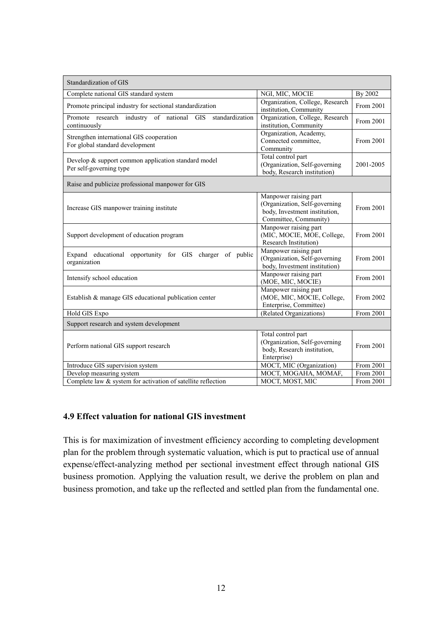| Standardization of GIS                                                         |                                                                                                                  |           |  |  |
|--------------------------------------------------------------------------------|------------------------------------------------------------------------------------------------------------------|-----------|--|--|
| Complete national GIS standard system                                          | NGI, MIC, MOCIE                                                                                                  | By 2002   |  |  |
| Promote principal industry for sectional standardization                       | Organization, College, Research<br>institution, Community                                                        | From 2001 |  |  |
| Promote research industry of national GIS standardization<br>continuously      | Organization, College, Research<br>institution, Community                                                        | From 2001 |  |  |
| Strengthen international GIS cooperation<br>For global standard development    | Organization, Academy,<br>Connected committee,<br>Community                                                      | From 2001 |  |  |
| Develop & support common application standard model<br>Per self-governing type | Total control part<br>(Organization, Self-governing<br>body, Research institution)                               | 2001-2005 |  |  |
| Raise and publicize professional manpower for GIS                              |                                                                                                                  |           |  |  |
| Increase GIS manpower training institute                                       | Manpower raising part<br>(Organization, Self-governing<br>body, Investment institution,<br>Committee, Community) | From 2001 |  |  |
| Support development of education program                                       | Manpower raising part<br>(MIC, MOCIE, MOE, College,<br>Research Institution)                                     | From 2001 |  |  |
| Expand educational opportunity for GIS charger of public<br>organization       | Manpower raising part<br>(Organization, Self-governing<br>body, Investment institution)                          | From 2001 |  |  |
| Intensify school education                                                     | Manpower raising part<br>(MOE, MIC, MOCIE)                                                                       | From 2001 |  |  |
| Establish & manage GIS educational publication center                          | Manpower raising part<br>(MOE, MIC, MOCIE, College,<br>Enterprise, Committee)                                    | From 2002 |  |  |
| Hold GIS Expo                                                                  | (Related Organizations)                                                                                          | From 2001 |  |  |
| Support research and system development                                        |                                                                                                                  |           |  |  |
| Perform national GIS support research                                          | Total control part<br>(Organization, Self-governing<br>body, Research institution,<br>Enterprise)                | From 2001 |  |  |
| Introduce GIS supervision system                                               | MOCT, MIC (Organization)                                                                                         | From 2001 |  |  |
| Develop measuring system                                                       | MOCT, MOGAHA, MOMAF,                                                                                             | From 2001 |  |  |
| Complete law & system for activation of satellite reflection                   | MOCT, MOST, MIC                                                                                                  | From 2001 |  |  |

### **4.9 Effect valuation for national GIS investment**

This is for maximization of investment efficiency according to completing development plan for the problem through systematic valuation, which is put to practical use of annual expense/effect-analyzing method per sectional investment effect through national GIS business promotion. Applying the valuation result, we derive the problem on plan and business promotion, and take up the reflected and settled plan from the fundamental one.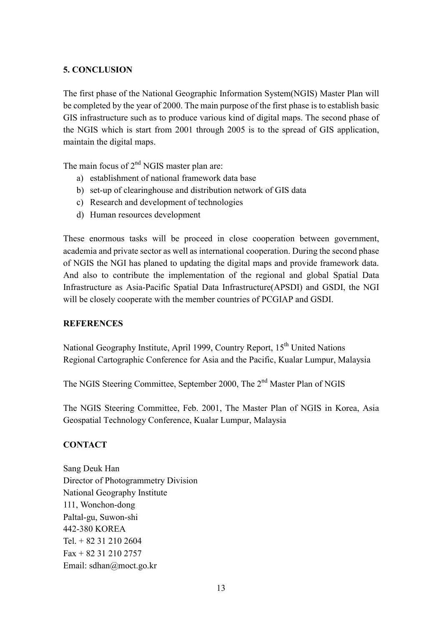# **5. CONCLUSION**

The first phase of the National Geographic Information System(NGIS) Master Plan will be completed by the year of 2000. The main purpose of the first phase is to establish basic GIS infrastructure such as to produce various kind of digital maps. The second phase of the NGIS which is start from 2001 through 2005 is to the spread of GIS application, maintain the digital maps.

The main focus of  $2<sup>nd</sup>$  NGIS master plan are:

- a) establishment of national framework data base
- b) set-up of clearinghouse and distribution network of GIS data
- c) Research and development of technologies
- d) Human resources development

These enormous tasks will be proceed in close cooperation between government, academia and private sector as well as international cooperation. During the second phase of NGIS the NGI has planed to updating the digital maps and provide framework data. And also to contribute the implementation of the regional and global Spatial Data Infrastructure as Asia-Pacific Spatial Data Infrastructure(APSDI) and GSDI, the NGI will be closely cooperate with the member countries of PCGIAP and GSDI.

### **REFERENCES**

National Geography Institute, April 1999, Country Report, 15<sup>th</sup> United Nations Regional Cartographic Conference for Asia and the Pacific, Kualar Lumpur, Malaysia

The NGIS Steering Committee, September 2000, The 2<sup>nd</sup> Master Plan of NGIS

The NGIS Steering Committee, Feb. 2001, The Master Plan of NGIS in Korea, Asia Geospatial Technology Conference, Kualar Lumpur, Malaysia

### **CONTACT**

Sang Deuk Han Director of Photogrammetry Division National Geography Institute 111, Wonchon-dong Paltal-gu, Suwon-shi 442-380 KOREA Tel. + 82 31 210 2604  $Fax + 82$  31 210 2757 Email: sdhan@moct.go.kr